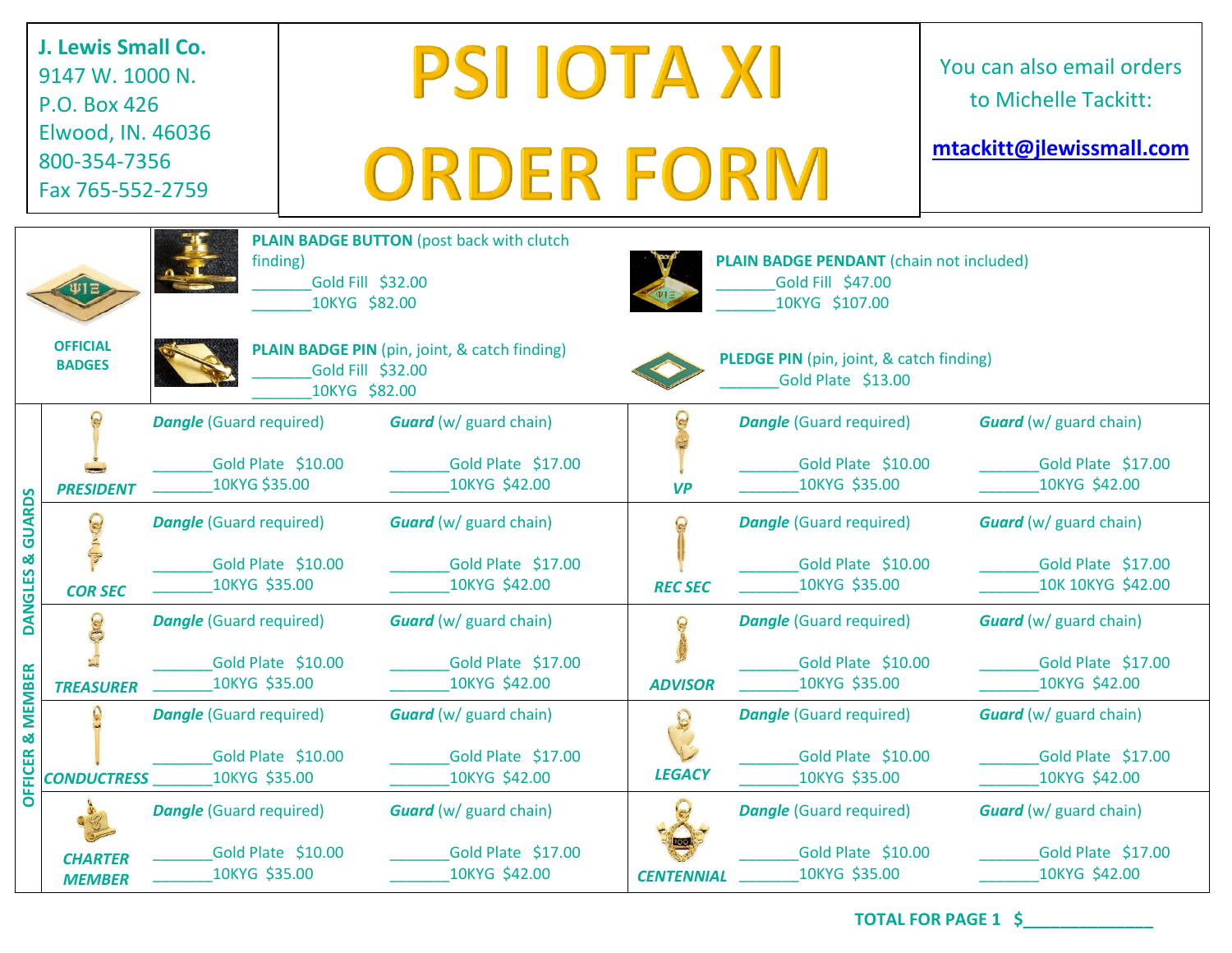| J. Lewis Small Co.<br>9147 W. 1000 N.<br>P.O. Box 426<br>Elwood, IN. 46036<br>800-354-7356<br>Fax 765-552-2759 |                                  |                                                                       |                                                                          | <b>PSI IOTA XI</b><br><b>ORDER FORM</b>                                                                  | You can also email orders<br>to Michelle Tackitt:<br>mtackitt@jlewissmall.com                                                                            |                                                                       |                                                                          |
|----------------------------------------------------------------------------------------------------------------|----------------------------------|-----------------------------------------------------------------------|--------------------------------------------------------------------------|----------------------------------------------------------------------------------------------------------|----------------------------------------------------------------------------------------------------------------------------------------------------------|-----------------------------------------------------------------------|--------------------------------------------------------------------------|
|                                                                                                                | <b>OFFICIAL</b><br><b>BADGES</b> | finding)                                                              | Gold Fill \$32.00<br>10KYG \$82.00<br>Gold Fill \$32.00<br>10KYG \$82.00 | <b>PLAIN BADGE BUTTON</b> (post back with clutch<br><b>PLAIN BADGE PIN</b> (pin, joint, & catch finding) | <b>PLAIN BADGE PENDANT</b> (chain not included)<br>Gold Fill \$47.00<br>10KYG \$107.00<br>PLEDGE PIN (pin, joint, & catch finding)<br>Gold Plate \$13.00 |                                                                       |                                                                          |
| DANGLES & GUARDS<br><b>EMBER</b><br><b>OFFICER &amp; M</b>                                                     | <b>PRESIDENT</b>                 | <b>Dangle</b> (Guard required)<br>Gold Plate \$10.00<br>10KYG \$35.00 |                                                                          | <b>Guard</b> (w/ guard chain)<br>Gold Plate \$17.00<br>10KYG \$42.00                                     | <b>VP</b>                                                                                                                                                | <b>Dangle</b> (Guard required)<br>Gold Plate \$10.00<br>10KYG \$35.00 | <b>Guard</b> (w/ guard chain)<br>Gold Plate \$17.00<br>10KYG \$42.00     |
|                                                                                                                | <b>COR SEC</b>                   | <b>Dangle</b> (Guard required)<br>Gold Plate \$10.00<br>10KYG \$35.00 |                                                                          | <b>Guard</b> (w/ guard chain)<br>Gold Plate \$17.00<br>10KYG \$42.00                                     | <b>REC SEC</b>                                                                                                                                           | <b>Dangle</b> (Guard required)<br>Gold Plate \$10.00<br>10KYG \$35.00 | <b>Guard</b> (w/ guard chain)<br>Gold Plate \$17.00<br>10K 10KYG \$42.00 |
|                                                                                                                | <b>TREASURER</b>                 | <b>Dangle</b> (Guard required)<br>Gold Plate \$10.00<br>10KYG \$35.00 |                                                                          | <b>Guard</b> (w/ guard chain)<br>Gold Plate \$17.00<br>10KYG \$42.00                                     | <b>ADVISOR</b>                                                                                                                                           | <b>Dangle</b> (Guard required)<br>Gold Plate \$10.00<br>10KYG \$35.00 | <b>Guard</b> (w/ guard chain)<br>Gold Plate \$17.00<br>10KYG \$42.00     |
|                                                                                                                | $\Omega$<br><b>CONDUCTRESS</b>   | <b>Dangle</b> (Guard required)<br>Gold Plate \$10.00<br>10KYG \$35.00 |                                                                          | <b>Guard</b> (w/ guard chain)<br>Gold Plate \$17.00<br>10KYG \$42.00                                     | <b>LEGACY</b>                                                                                                                                            | <b>Dangle</b> (Guard required)<br>Gold Plate \$10.00<br>10KYG \$35.00 | <b>Guard</b> (w/ guard chain)<br>Gold Plate \$17.00<br>10KYG \$42.00     |
|                                                                                                                | <b>CHARTER</b><br><b>MEMBER</b>  | <b>Dangle</b> (Guard required)<br>Gold Plate \$10.00<br>10KYG \$35.00 |                                                                          | <b>Guard</b> (w/ guard chain)<br>Gold Plate \$17.00<br>10KYG \$42.00                                     | <b>CENTENNIAL</b>                                                                                                                                        | <b>Dangle</b> (Guard required)<br>Gold Plate \$10.00<br>10KYG \$35.00 | <b>Guard</b> (w/ guard chain)<br>Gold Plate \$17.00<br>10KYG \$42.00     |

**TOTAL FOR PAGE 1 \$\_\_\_\_\_\_\_\_\_\_\_\_\_\_**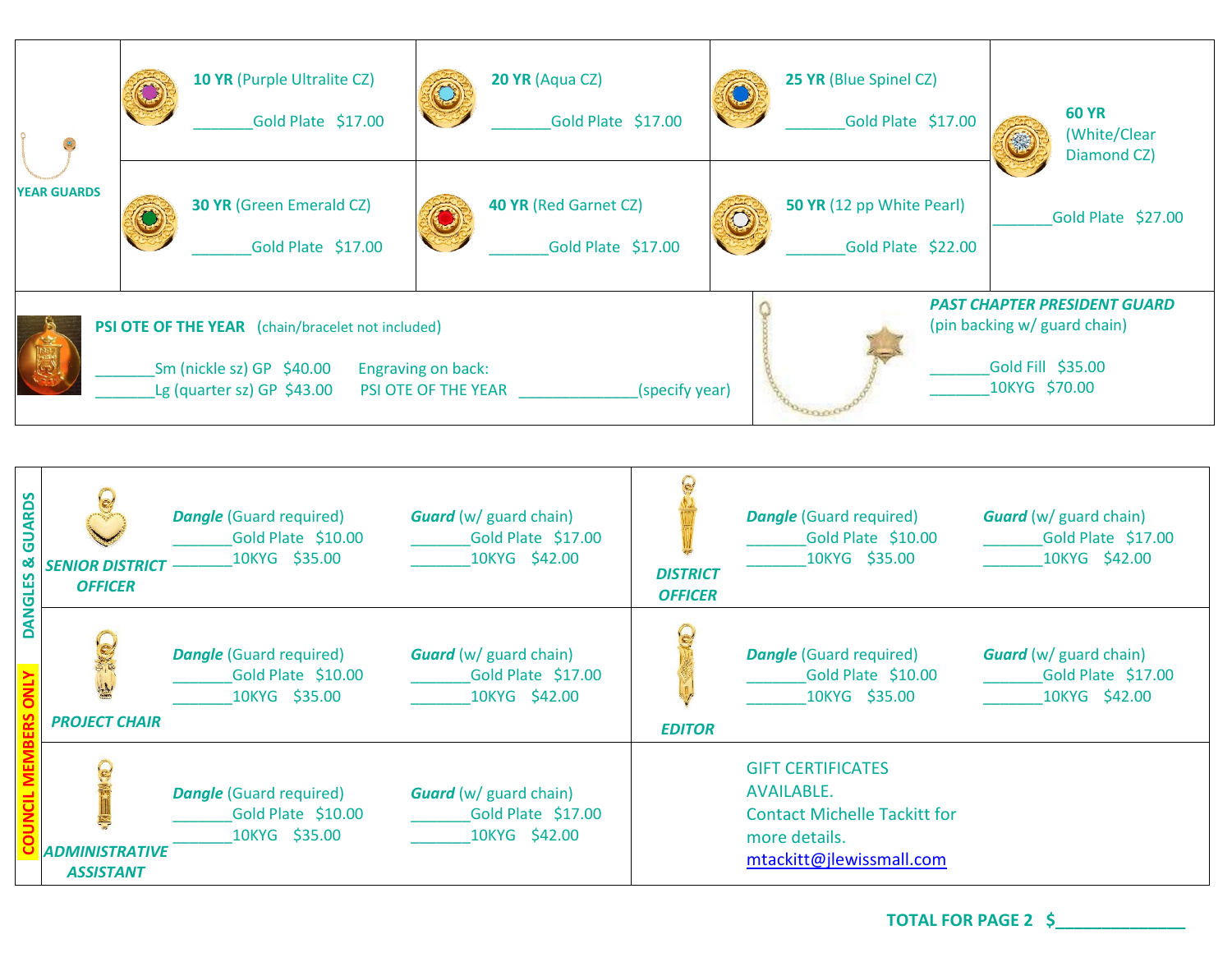| $\circ$                                                                                                                                                                                                                                                                                           | <b>10 YR (Purple Ultralite CZ)</b><br>Gold Plate \$17.00 |                                                       | 20 YR (Aqua CZ)<br>Gold Plate \$17.00 |                                             |  | 25 YR (Blue Spinel CZ)<br>Gold Plate \$17.00    | <b>60 YR</b><br>(White/Clear<br>Diamond CZ) |
|---------------------------------------------------------------------------------------------------------------------------------------------------------------------------------------------------------------------------------------------------------------------------------------------------|----------------------------------------------------------|-------------------------------------------------------|---------------------------------------|---------------------------------------------|--|-------------------------------------------------|---------------------------------------------|
| <b>YEAR GUARDS</b>                                                                                                                                                                                                                                                                                |                                                          | <b>30 YR (Green Emerald CZ)</b><br>Gold Plate \$17.00 |                                       | 40 YR (Red Garnet CZ)<br>Gold Plate \$17.00 |  | 50 YR (12 pp White Pearl)<br>Gold Plate \$22.00 | Gold Plate \$27.00                          |
| <b>PAST CHAPTER PRESIDENT GUARD</b><br>(pin backing w/ guard chain)<br><b>PSI OTE OF THE YEAR</b> (chain/bracelet not included)<br>Gold Fill \$35.00<br>Sm (nickle sz) GP $$40.00$<br>Engraving on back:<br>10KYG \$70.00<br>Lg (quarter sz) GP $$43.00$<br>(specify year)<br>PSI OTE OF THE YEAR |                                                          |                                                       |                                       |                                             |  |                                                 |                                             |

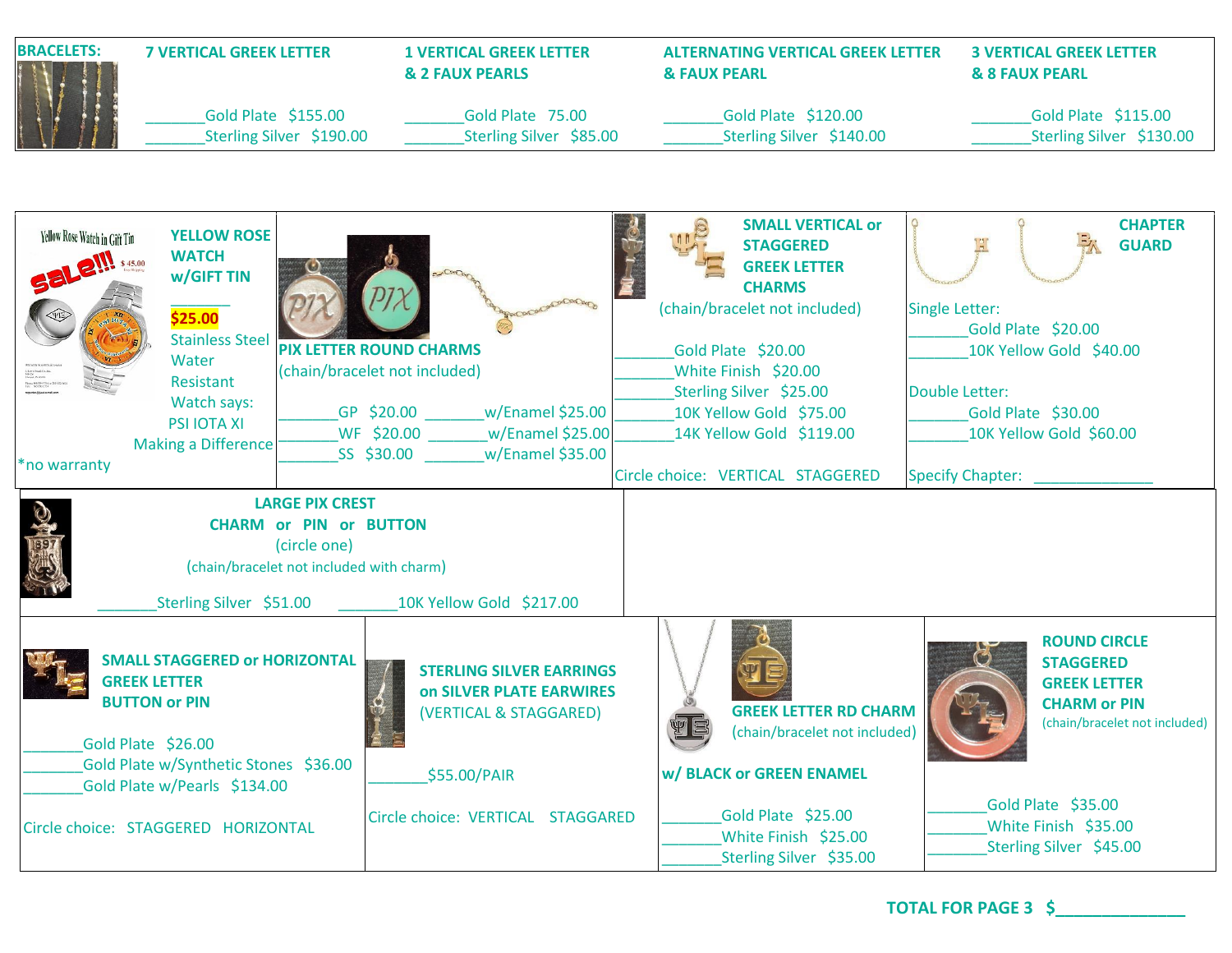| <b>BRACELETS:</b><br><b>7 VERTICAL GREEK LETTER</b>     |                                                                                                                                                                                | <b>1 VERTICAL GREEK LETTER</b><br><b>&amp; 2 FAUX PEARLS</b>                                                                                                                   | <b>ALTERNATING VERTICAL GREEK LETTER</b><br><b>&amp; FAUX PEARL</b>                                                                                                                                                                                   | <b>3 VERTICAL GREEK LETTER</b><br><b>&amp; 8 FAUX PEARL</b>                                                                                                                 |  |
|---------------------------------------------------------|--------------------------------------------------------------------------------------------------------------------------------------------------------------------------------|--------------------------------------------------------------------------------------------------------------------------------------------------------------------------------|-------------------------------------------------------------------------------------------------------------------------------------------------------------------------------------------------------------------------------------------------------|-----------------------------------------------------------------------------------------------------------------------------------------------------------------------------|--|
|                                                         | Gold Plate \$155.00<br>Sterling Silver \$190.00                                                                                                                                | Gold Plate 75.00<br>Sterling Silver \$85.00                                                                                                                                    | Gold Plate \$120.00<br>Sterling Silver \$140.00                                                                                                                                                                                                       | Gold Plate \$115.00<br>Sterling Silver \$130.00                                                                                                                             |  |
| Yellow Rose Watch in Gift Tin<br><b>Sale!!!</b> \$45.00 | <b>YELLOW ROSE</b><br><b>WATCH</b><br>w/GIFT TIN<br>\$25.00<br><b>Stainless Steel</b><br>Water<br>Resistant<br>Watch says:<br><b>PSI IOTA XI</b><br><b>Making a Difference</b> | CONDOCTO<br><b>PIX LETTER ROUND CHARMS</b><br>(chain/bracelet not included)<br>GP \$20.00<br>w/Enamel \$25.00<br>WF \$20.00 w/Enamel \$25.00<br>w/Enamel \$35.00<br>SS \$30.00 | <b>SMALL VERTICAL or</b><br><b>STAGGERED</b><br><b>GREEK LETTER</b><br><b>CHARMS</b><br>(chain/bracelet not included)<br>Gold Plate \$20.00<br>White Finish \$20.00<br>Sterling Silver \$25.00<br>10K Yellow Gold \$75.00<br>14K Yellow Gold \$119.00 | <b>CHAPTER</b><br><b>GUARD</b><br><b>Single Letter:</b><br>Gold Plate \$20.00<br>10K Yellow Gold \$40.00<br>Double Letter:<br>Gold Plate \$30.00<br>10K Yellow Gold \$60.00 |  |
| *no warranty                                            |                                                                                                                                                                                |                                                                                                                                                                                | Circle choice: VERTICAL STAGGERED                                                                                                                                                                                                                     | <b>Specify Chapter:</b>                                                                                                                                                     |  |
|                                                         | <b>LARGE PIX CREST</b><br><b>CHARM or PIN or BUTTON</b><br>(circle one)<br>(chain/bracelet not included with charm)<br>Sterling Silver \$51.00                                 | 10K Yellow Gold \$217.00                                                                                                                                                       |                                                                                                                                                                                                                                                       |                                                                                                                                                                             |  |
|                                                         | <b>SMALL STAGGERED or HORIZONTAL</b><br><b>GREEK LETTER</b><br><b>BUTTON or PIN</b><br>Gold Plate \$26.00<br>Gold Plate w/Synthetic Stones \$36.00                             | <b>STERLING SILVER EARRINGS</b><br><b>on SILVER PLATE EARWIRES</b><br>(VERTICAL & STAGGARED)<br><b>AB</b><br>\$55.00/PAIR                                                      | <b>GREEK LETTER RD CHARM</b><br>(chain/bracelet not included)<br><b>w/ BLACK or GREEN ENAMEL</b>                                                                                                                                                      | <b>ROUND CIRCLE</b><br><b>STAGGERED</b><br><b>GREEK LETTER</b><br><b>CHARM or PIN</b><br>(chain/bracelet not included)                                                      |  |
|                                                         | Gold Plate w/Pearls \$134.00<br>Circle choice: STAGGERED HORIZONTAL                                                                                                            | Circle choice: VERTICAL STAGGARED                                                                                                                                              | Gold Plate \$25.00<br>White Finish \$25.00<br>Sterling Silver \$35.00                                                                                                                                                                                 | Gold Plate \$35.00<br>White Finish \$35.00<br>Sterling Silver \$45.00                                                                                                       |  |